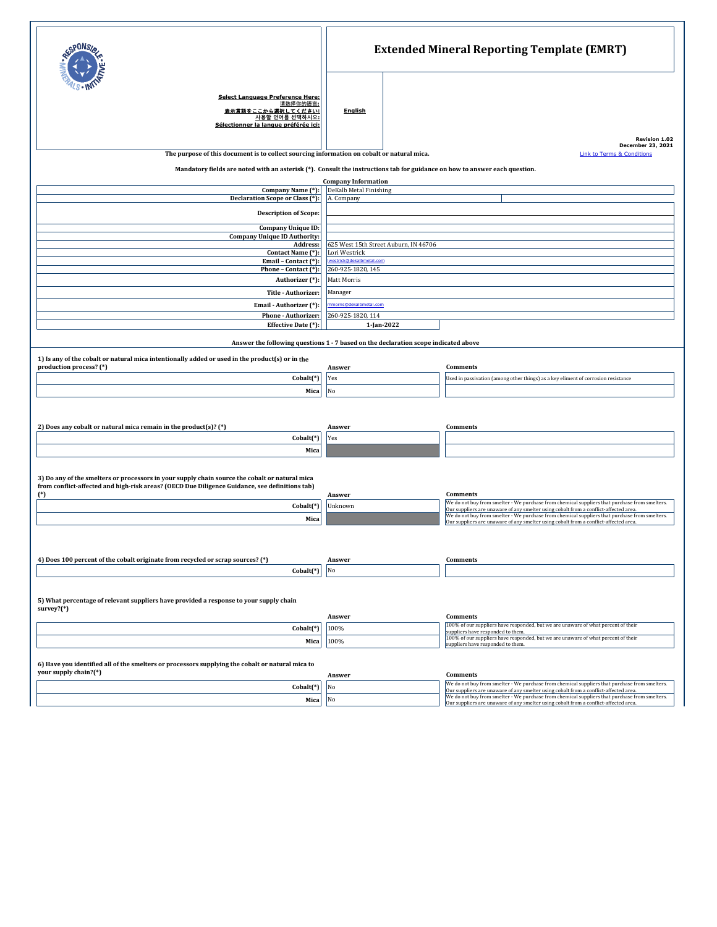|                                                                                                                                                                                                                   | <b>Extended Mineral Reporting Template (EMRT)</b> |  |                                                                                                                                                                                       |  |  |  |
|-------------------------------------------------------------------------------------------------------------------------------------------------------------------------------------------------------------------|---------------------------------------------------|--|---------------------------------------------------------------------------------------------------------------------------------------------------------------------------------------|--|--|--|
| <b>Select Language Preference Here:</b><br>请选择你的语言:<br><u>ここから選択してください:</u><br>사용할 언어를 선택하시오:<br>Sélectionner la langue préférée ici:                                                                             | <b>English</b>                                    |  | <b>Revision 1.02</b>                                                                                                                                                                  |  |  |  |
| December 23, 2021<br>The purpose of this document is to collect sourcing information on cobalt or natural mica.<br><b>Link to Terms &amp; Conditions</b>                                                          |                                                   |  |                                                                                                                                                                                       |  |  |  |
| Mandatory fields are noted with an asterisk (*). Consult the instructions tab for guidance on how to answer each question.                                                                                        |                                                   |  |                                                                                                                                                                                       |  |  |  |
| <b>Company Information</b>                                                                                                                                                                                        |                                                   |  |                                                                                                                                                                                       |  |  |  |
| Company Name (*):<br>Declaration Scope or Class (*):                                                                                                                                                              | DeKalb Metal Finishing<br>A. Company              |  |                                                                                                                                                                                       |  |  |  |
|                                                                                                                                                                                                                   |                                                   |  |                                                                                                                                                                                       |  |  |  |
| <b>Description of Scope:</b>                                                                                                                                                                                      |                                                   |  |                                                                                                                                                                                       |  |  |  |
| Company Unique ID:<br><b>Company Unique ID Authority:</b>                                                                                                                                                         |                                                   |  |                                                                                                                                                                                       |  |  |  |
| Address:                                                                                                                                                                                                          | 625 West 15th Street Auburn, IN 46706             |  |                                                                                                                                                                                       |  |  |  |
| Contact Name (*):<br>Email - Contact (*):                                                                                                                                                                         | Lori Westrick                                     |  |                                                                                                                                                                                       |  |  |  |
| Phone - Contact (*):                                                                                                                                                                                              | estrick@dekalbmetal.com<br>260-925-1820, 145      |  |                                                                                                                                                                                       |  |  |  |
| Authorizer (*):                                                                                                                                                                                                   | Matt Morris                                       |  |                                                                                                                                                                                       |  |  |  |
| Title - Authorizer:                                                                                                                                                                                               | Manager                                           |  |                                                                                                                                                                                       |  |  |  |
| Email - Authorizer (*):                                                                                                                                                                                           | morris@dekalbmetal.com                            |  |                                                                                                                                                                                       |  |  |  |
| Phone - Authorizer:                                                                                                                                                                                               | 260-925-1820, 114                                 |  |                                                                                                                                                                                       |  |  |  |
| Effective Date (*):                                                                                                                                                                                               | 1-Jan-2022                                        |  |                                                                                                                                                                                       |  |  |  |
| Answer the following questions 1 - 7 based on the declaration scope indicated above<br>1) Is any of the cobalt or natural mica intentionally added or used in the product(s) or in the<br>production process? (*) | Answer                                            |  | Comments                                                                                                                                                                              |  |  |  |
| Cobalt(*)                                                                                                                                                                                                         | Yes                                               |  | Used in passivation (among other things) as a key eliment of corrosion resistance                                                                                                     |  |  |  |
| Mica                                                                                                                                                                                                              | No                                                |  |                                                                                                                                                                                       |  |  |  |
| 2) Does any cobalt or natural mica remain in the product(s)? $(*)$                                                                                                                                                | Answer                                            |  | Comments                                                                                                                                                                              |  |  |  |
| Cobalt(*)                                                                                                                                                                                                         | Yes                                               |  |                                                                                                                                                                                       |  |  |  |
| Mica                                                                                                                                                                                                              |                                                   |  |                                                                                                                                                                                       |  |  |  |
| 3) Do any of the smelters or processors in your supply chain source the cobalt or natural mica<br>from conflict-affected and high-risk areas? (OECD Due Diligence Guidance, see definitions tab)<br>$(*)$         | Answer                                            |  | Comments                                                                                                                                                                              |  |  |  |
| Cobalt(*)                                                                                                                                                                                                         | Unknown                                           |  | We do not buy from smelter - We purchase from chemical suppliers that purchase from smelters.<br>Our suppliers are unaware of any smelter using cobalt from a conflict-affected area. |  |  |  |
| Mica                                                                                                                                                                                                              |                                                   |  | We do not buy from smelter - We purchase from chemical suppliers that purchase from smelters.<br>Our suppliers are unaware of any smelter using cobalt from a conflict-affected area. |  |  |  |
|                                                                                                                                                                                                                   |                                                   |  |                                                                                                                                                                                       |  |  |  |
| 4) Does 100 percent of the cobalt originate from recycled or scrap sources? (*)                                                                                                                                   | Answer                                            |  | Comments                                                                                                                                                                              |  |  |  |
| Cobalt <sup>(*)</sup>                                                                                                                                                                                             | No                                                |  |                                                                                                                                                                                       |  |  |  |
| 5) What percentage of relevant suppliers have provided a response to your supply chain<br>survey? $(*)$                                                                                                           |                                                   |  |                                                                                                                                                                                       |  |  |  |
|                                                                                                                                                                                                                   | Answer                                            |  | Comments<br>100% of our suppliers have responded, but we are unaware of what percent of their                                                                                         |  |  |  |
| Cobalt(*)                                                                                                                                                                                                         | 100%                                              |  | suppliers have responded to them.<br>100% of our suppliers have responded, but we are unaware of what percent of their                                                                |  |  |  |
| Mica                                                                                                                                                                                                              | 100%                                              |  | suppliers have responded to them.                                                                                                                                                     |  |  |  |
|                                                                                                                                                                                                                   |                                                   |  |                                                                                                                                                                                       |  |  |  |
| 6) Have you identified all of the smelters or processors supplying the cobalt or natural mica to<br>your supply chain?(*)                                                                                         |                                                   |  |                                                                                                                                                                                       |  |  |  |
|                                                                                                                                                                                                                   | Answer                                            |  | Comments<br>We do not buy from smelter - We purchase from chemical suppliers that purchase from smelters.                                                                             |  |  |  |
| Cobalt(*)                                                                                                                                                                                                         | No                                                |  | Our suppliers are unaware of any smelter using cobalt from a conflict-affected area.                                                                                                  |  |  |  |
| Mica                                                                                                                                                                                                              | No                                                |  | We do not buy from smelter - We purchase from chemical suppliers that purchase from smelters.<br>Our suppliers are unaware of any smelter using cobalt from a conflict-affected area. |  |  |  |